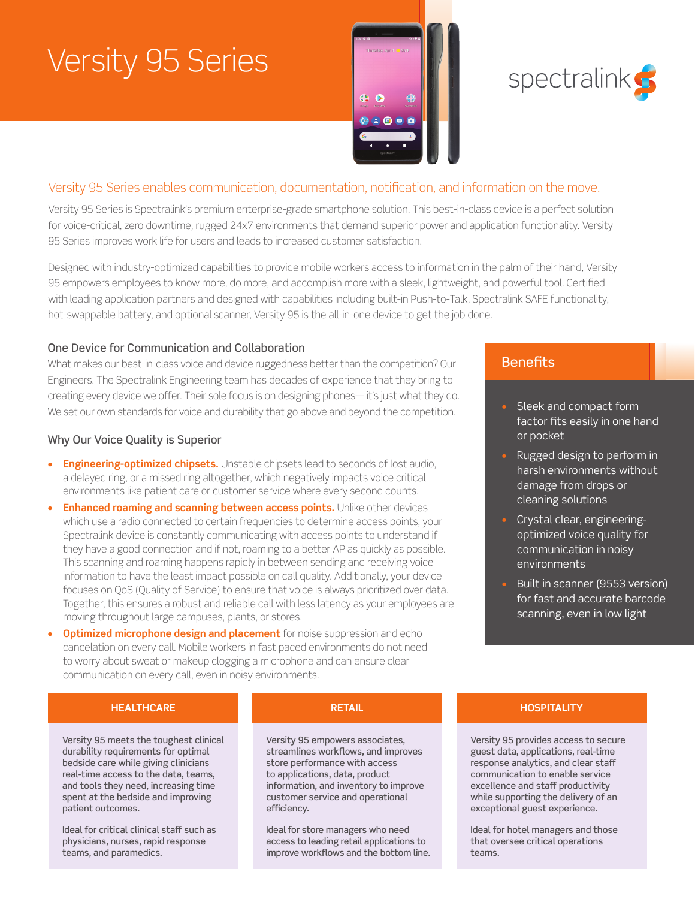# Versity 95 Series





### Versity 95 Series enables communication, documentation, notification, and information on the move.

Versity 95 Series is Spectralink's premium enterprise-grade smartphone solution. This best-in-class device is a perfect solution for voice-critical, zero downtime, rugged 24x7 environments that demand superior power and application functionality. Versity 95 Series improves work life for users and leads to increased customer satisfaction.

Designed with industry-optimized capabilities to provide mobile workers access to information in the palm of their hand, Versity 95 empowers employees to know more, do more, and accomplish more with a sleek, lightweight, and powerful tool. Certified with leading application partners and designed with capabilities including built-in Push-to-Talk, Spectralink SAFE functionality, hot-swappable battery, and optional scanner, Versity 95 is the all-in-one device to get the job done.

#### One Device for Communication and Collaboration

What makes our best-in-class voice and device ruggedness better than the competition? Our Engineers. The Spectralink Engineering team has decades of experience that they bring to creating every device we offer. Their sole focus is on designing phones— it's just what they do. We set our own standards for voice and durability that go above and beyond the competition.

#### Why Our Voice Quality is Superior

- **• Engineering-optimized chipsets.** Unstable chipsets lead to seconds of lost audio, a delayed ring, or a missed ring altogether, which negatively impacts voice critical environments like patient care or customer service where every second counts.
- **• Enhanced roaming and scanning between access points.** Unlike other devices which use a radio connected to certain frequencies to determine access points, your Spectralink device is constantly communicating with access points to understand if they have a good connection and if not, roaming to a better AP as quickly as possible. This scanning and roaming happens rapidly in between sending and receiving voice information to have the least impact possible on call quality. Additionally, your device focuses on QoS (Quality of Service) to ensure that voice is always prioritized over data. Together, this ensures a robust and reliable call with less latency as your employees are moving throughout large campuses, plants, or stores.
- **• Optimized microphone design and placement** for noise suppression and echo cancelation on every call. Mobile workers in fast paced environments do not need to worry about sweat or makeup clogging a microphone and can ensure clear communication on every call, even in noisy environments.

### **Benefits**

- Sleek and compact form factor fits easily in one hand or pocket
- Rugged design to perform in harsh environments without damage from drops or cleaning solutions
- Crystal clear, engineeringoptimized voice quality for communication in noisy environments
- Built in scanner (9553 version) for fast and accurate barcode scanning, even in low light

#### **HEALTHCARE RETAIL HOSPITALITY**

Versity 95 meets the toughest clinical durability requirements for optimal bedside care while giving clinicians real-time access to the data, teams, and tools they need, increasing time spent at the bedside and improving patient outcomes.

Ideal for critical clinical staff such as physicians, nurses, rapid response teams, and paramedics.

Versity 95 empowers associates, streamlines workflows, and improves store performance with access to applications, data, product information, and inventory to improve customer service and operational efficiency.

Ideal for store managers who need access to leading retail applications to improve workflows and the bottom line.

Versity 95 provides access to secure guest data, applications, real-time response analytics, and clear staff communication to enable service excellence and staff productivity while supporting the delivery of an exceptional guest experience.

Ideal for hotel managers and those that oversee critical operations teams.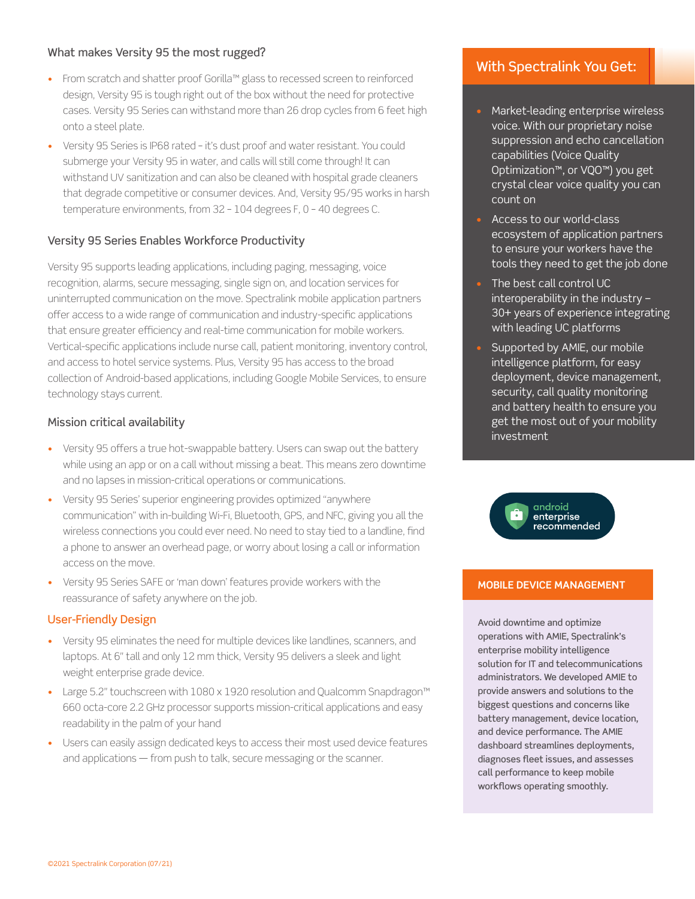#### What makes Versity 95 the most rugged?

- From scratch and shatter proof Gorilla™ glass to recessed screen to reinforced design, Versity 95 is tough right out of the box without the need for protective cases. Versity 95 Series can withstand more than 26 drop cycles from 6 feet high onto a steel plate.
- Versity 95 Series is IP68 rated it's dust proof and water resistant. You could submerge your Versity 95 in water, and calls will still come through! It can withstand UV sanitization and can also be cleaned with hospital grade cleaners that degrade competitive or consumer devices. And, Versity 95/95 works in harsh temperature environments, from 32 – 104 degrees F, 0 – 40 degrees C.

#### Versity 95 Series Enables Workforce Productivity

Versity 95 supports leading applications, including paging, messaging, voice recognition, alarms, secure messaging, single sign on, and location services for uninterrupted communication on the move. Spectralink mobile application partners offer access to a wide range of communication and industry-specific applications that ensure greater efficiency and real-time communication for mobile workers. Vertical-specific applications include nurse call, patient monitoring, inventory control, and access to hotel service systems. Plus, Versity 95 has access to the broad collection of Android-based applications, including Google Mobile Services, to ensure technology stays current.

#### Mission critical availability

- Versity 95 offers a true hot-swappable battery. Users can swap out the battery while using an app or on a call without missing a beat. This means zero downtime and no lapses in mission-critical operations or communications.
- Versity 95 Series' superior engineering provides optimized "anywhere communication" with in-building Wi-Fi, Bluetooth, GPS, and NFC, giving you all the wireless connections you could ever need. No need to stay tied to a landline, find a phone to answer an overhead page, or worry about losing a call or information access on the move.
- Versity 95 Series SAFE or 'man down' features provide workers with the reassurance of safety anywhere on the job.

#### User-Friendly Design

- Versity 95 eliminates the need for multiple devices like landlines, scanners, and laptops. At 6" tall and only 12 mm thick, Versity 95 delivers a sleek and light weight enterprise grade device.
- Large 5.2" touchscreen with 1080 x 1920 resolution and Qualcomm Snapdragon™ 660 octa-core 2.2 GHz processor supports mission-critical applications and easy readability in the palm of your hand
- Users can easily assign dedicated keys to access their most used device features and applications — from push to talk, secure messaging or the scanner.

#### With Spectralink You Get:

- Market-leading enterprise wireless voice. With our proprietary noise suppression and echo cancellation capabilities (Voice Quality Optimization™, or VQO™) you get crystal clear voice quality you can count on
- Access to our world-class ecosystem of application partners to ensure your workers have the tools they need to get the job done
- The best call control UC interoperability in the industry – 30+ years of experience integrating with leading UC platforms
- Supported by AMIE, our mobile intelligence platform, for easy deployment, device management, security, call quality monitoring and battery health to ensure you get the most out of your mobility investment



#### **MOBILE DEVICE MANAGEMENT**

Avoid downtime and optimize operations with AMIE, Spectralink's enterprise mobility intelligence solution for IT and telecommunications administrators. We developed AMIE to provide answers and solutions to the biggest questions and concerns like battery management, device location, and device performance. The AMIE dashboard streamlines deployments, diagnoses fleet issues, and assesses call performance to keep mobile workflows operating smoothly.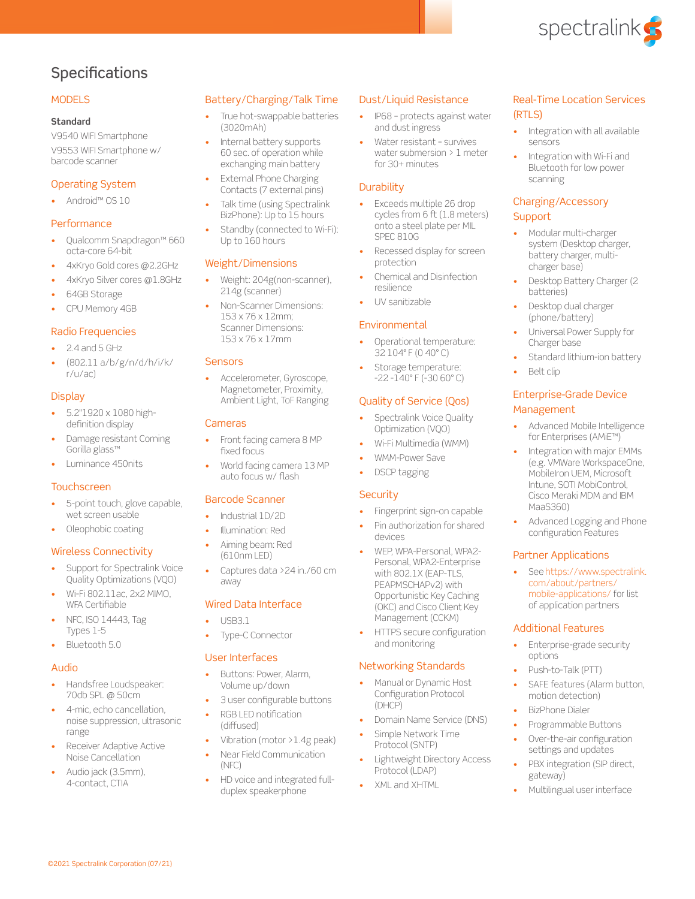

### **Specifications**

#### **MODELS**

#### **Standard**

V9540 WIFI Smartphone V9553 WIFI Smartphone w/ barcode scanner

#### Operating System

• Android™ OS 10

#### **Performance**

- Qualcomm Snapdragon™ 660 octa-core 64-bit
- 4xKryo Gold cores @2.2GHz
- 4xKryo Silver cores @1.8GHz
- 64GB Storage
- CPU Memory 4GB

#### Radio Frequencies

- 2.4 and 5 GHz
- (802.11 a/b/g/n/d/h/i/k/ r/u/ac)

#### **Display**

- 5.2"1920 x 1080 highdefinition display
- Damage resistant Corning Gorilla glass™
- Luminance 450nits

#### **Touchscreen**

- 5-point touch, glove capable, wet screen usable
- Oleophobic coating

#### Wireless Connectivity

- Support for Spectralink Voice Quality Optimizations (VQO)
- Wi-Fi 802.11ac, 2x2 MIMO, WFA Certifiable
- NFC, ISO 14443, Tag Types 1-5
- Bluetooth 5.0

#### Audio

- Handsfree Loudspeaker: 70db SPL @ 50cm
- 4-mic, echo cancellation, noise suppression, ultrasonic range
- Receiver Adaptive Active Noise Cancellation

©2021 Spectralink Corporation (07/21)

• Audio jack (3.5mm), 4-contact, CTIA

#### Battery/Charging/Talk Time

- True hot-swappable batteries (3020mAh)
- Internal battery supports 60 sec. of operation while exchanging main battery **External Phone Charging**
- Contacts (7 external pins) Talk time (using Spectralink
- BizPhone): Up to 15 hours
- Standby (connected to Wi-Fi): Up to 160 hours

#### Weight/Dimensions

- Weight: 204g(non-scanner), 214g (scanner)
- Non-Scanner Dimensions: 153 x 76 x 12mm; Scanner Dimensions: 153 x 76 x 17mm

#### **Sensors**

• Accelerometer, Gyroscope, Magnetometer, Proximity, Ambient Light, ToF Ranging

#### Cameras

- Front facing camera 8 MP fixed focus
- World facing camera 13 MP auto focus w/ flash

#### Barcode Scanner

- Industrial 1D/2D
- Illumination: Red
- Aiming beam: Red (610nm LED)
- Captures data > 24 in./60 cm away

#### Wired Data Interface

- USB3.1
- Type-C Connector

#### User Interfaces

- Buttons: Power, Alarm, Volume up/down
- 3 user configurable buttons
- RGB LED notification (diffused)
- Vibration (motor >1.4g peak)
- Near Field Communication (NFC)
- HD voice and integrated fullduplex speakerphone

#### Dust/Liquid Resistance

- IP68 protects against water and dust ingress
- Water resistant survives water submersion > 1 meter for 30+ minutes

#### **Durability**

- Exceeds multiple 26 drop cycles from 6 ft (1.8 meters) onto a steel plate per MIL SPEC 810G
- Recessed display for screen protection
- Chemical and Disinfection resilience
- UV sanitizable

#### Environmental

- Operational temperature: 32 104° F (0 40° C)
- Storage temperature: -22 -140° F (-30 60° C)

#### Quality of Service (Qos)

- Spectralink Voice Quality Optimization (VQO)
- Wi-Fi Multimedia (WMM)
- WMM-Power Save
- DSCP tagging

#### **Security**

- Fingerprint sign-on capable
- Pin authorization for shared devices
- WEP, WPA-Personal, WPA2- Personal, WPA2-Enterprise with 802.1X (EAP-TLS, PEAPMSCHAPv2) with Opportunistic Key Caching (OKC) and Cisco Client Key Management (CCKM)
- HTTPS secure configuration and monitoring

#### Networking Standards

- Manual or Dynamic Host Configuration Protocol (DHCP)
- Domain Name Service (DNS)
- Simple Network Time Protocol (SNTP)
- Lightweight Directory Access Protocol (LDAP)
- XML and XHTML

#### Real-Time Location Services (RTLS)

- Integration with all available sensors
- Integration with Wi-Fi and Bluetooth for low power scanning

#### Charging/Accessory **Support**

- Modular multi-charger system (Desktop charger, battery charger, multicharger base)
- Desktop Battery Charger (2 batteries)
- Desktop dual charger (phone/battery)
- Universal Power Supply for Charger base
- Standard lithium-ion battery
- Belt clip

MaaS360)

Partner Applications

Additional Features

• Push-to-Talk (PTT)

motion detection) • BizPhone Dialer • Programmable Buttons Over-the-air configuration settings and updates PBX integration (SIP direct,

options

gateway)

#### Enterprise-Grade Device Management

• Advanced Mobile Intelligence for Enterprises (AMiE™) Integration with major EMMs (e.g. VMWare WorkspaceOne, MobileIron UEM, Microsoft Intune, SOTI MobiControl, Cisco Meraki MDM and IBM

• Advanced Logging and Phone configuration Features

[See https://www.spectralink.](https://www.spectralink.com/about/partners/mobile-applications/) [com/about/partners/](https://www.spectralink.com/about/partners/mobile-applications/) [mobile-applications/ for list](https://www.spectralink.com/about/partners/mobile-applications/)  [of application partners](https://www.spectralink.com/about/partners/mobile-applications/)

Enterprise-grade security

SAFE features (Alarm button,

• Multilingual user interface